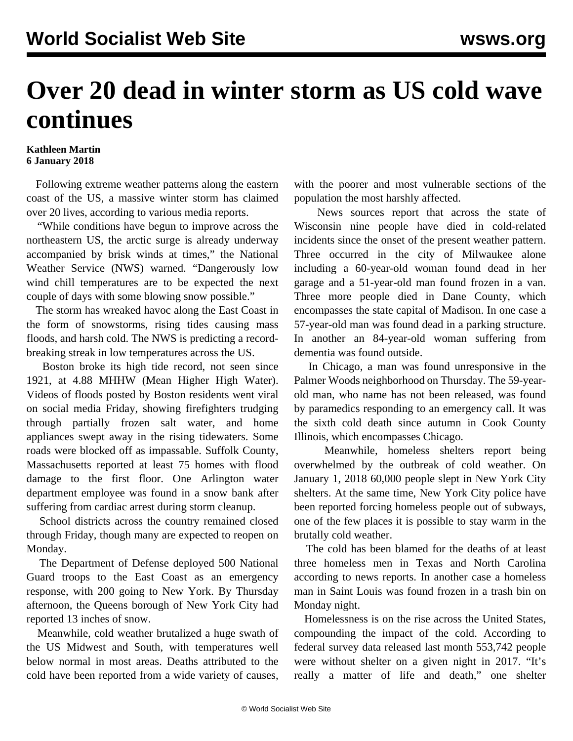## **Over 20 dead in winter storm as US cold wave continues**

## **Kathleen Martin 6 January 2018**

 Following extreme weather patterns along the eastern coast of the US, a massive winter storm has claimed over 20 lives, according to various media reports.

 "While conditions have begun to improve across the northeastern US, the arctic surge is already underway accompanied by brisk winds at times," the National Weather Service (NWS) warned. "Dangerously low wind chill temperatures are to be expected the next couple of days with some blowing snow possible."

 The storm has wreaked havoc along the East Coast in the form of snowstorms, rising tides causing mass floods, and harsh cold. The NWS is predicting a recordbreaking streak in low temperatures across the US.

 Boston broke its high tide record, not seen since 1921, at 4.88 MHHW (Mean Higher High Water). Videos of floods posted by Boston residents went viral on social media Friday, showing firefighters trudging through partially frozen salt water, and home appliances swept away in the rising tidewaters. Some roads were blocked off as impassable. Suffolk County, Massachusetts reported at least 75 homes with flood damage to the first floor. One Arlington water department employee was found in a snow bank after suffering from cardiac arrest during storm cleanup.

 School districts across the country remained closed through Friday, though many are expected to reopen on Monday.

 The Department of Defense deployed 500 National Guard troops to the East Coast as an emergency response, with 200 going to New York. By Thursday afternoon, the Queens borough of New York City had reported 13 inches of snow.

 Meanwhile, cold weather brutalized a huge swath of the US Midwest and South, with temperatures well below normal in most areas. Deaths attributed to the cold have been reported from a wide variety of causes,

with the poorer and most vulnerable sections of the population the most harshly affected.

 News sources report that across the state of Wisconsin nine people have died in cold-related incidents since the onset of the present weather pattern. Three occurred in the city of Milwaukee alone including a 60-year-old woman found dead in her garage and a 51-year-old man found frozen in a van. Three more people died in Dane County, which encompasses the state capital of Madison. In one case a 57-year-old man was found dead in a parking structure. In another an 84-year-old woman suffering from dementia was found outside.

 In Chicago, a man was found unresponsive in the Palmer Woods neighborhood on Thursday. The 59-yearold man, who name has not been released, was found by paramedics responding to an emergency call. It was the sixth cold death since autumn in Cook County Illinois, which encompasses Chicago.

 Meanwhile, homeless shelters report being overwhelmed by the outbreak of cold weather. On January 1, 2018 60,000 people slept in New York City shelters. At the same time, New York City police have been reported forcing homeless people out of subways, one of the few places it is possible to stay warm in the brutally cold weather.

 The cold has been blamed for the deaths of at least three homeless men in Texas and North Carolina according to news reports. In another case a homeless man in Saint Louis was found frozen in a trash bin on Monday night.

 Homelessness is on the rise across the United States, compounding the impact of the cold. According to federal survey data released last month 553,742 people were without shelter on a given night in 2017. "It's really a matter of life and death," one shelter